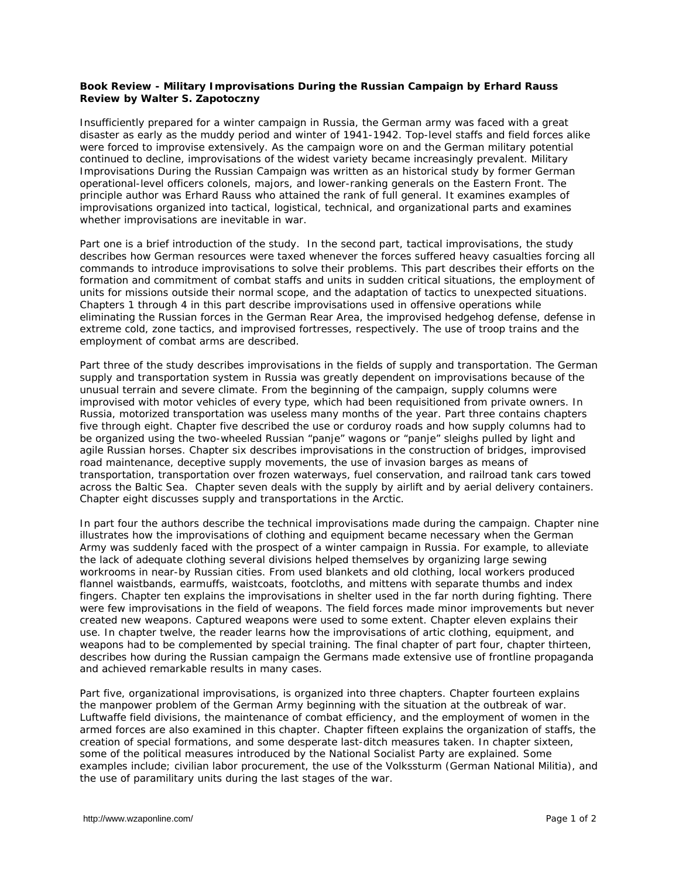## **Book Review - Military Improvisations During the Russian Campaign by Erhard Rauss Review by Walter S. Zapotoczny**

Insufficiently prepared for a winter campaign in Russia, the German army was faced with a great disaster as early as the muddy period and winter of 1941-1942. Top-level staffs and field forces alike were forced to improvise extensively. As the campaign wore on and the German military potential continued to decline, improvisations of the widest variety became increasingly prevalent. *Military Improvisations During the Russian Campaign* was written as an historical study by former German operational-level officers colonels, majors, and lower-ranking generals on the Eastern Front. The principle author was Erhard Rauss who attained the rank of full general. It examines examples of improvisations organized into tactical, logistical, technical, and organizational parts and examines whether improvisations are inevitable in war.

Part one is a brief introduction of the study. In the second part, tactical improvisations, the study describes how German resources were taxed whenever the forces suffered heavy casualties forcing all commands to introduce improvisations to solve their problems. This part describes their efforts on the formation and commitment of combat staffs and units in sudden critical situations, the employment of units for missions outside their normal scope, and the adaptation of tactics to unexpected situations. Chapters 1 through 4 in this part describe improvisations used in offensive operations while eliminating the Russian forces in the German Rear Area, the improvised hedgehog defense, defense in extreme cold, zone tactics, and improvised fortresses, respectively. The use of troop trains and the employment of combat arms are described.

Part three of the study describes improvisations in the fields of supply and transportation. The German supply and transportation system in Russia was greatly dependent on improvisations because of the unusual terrain and severe climate. From the beginning of the campaign, supply columns were improvised with motor vehicles of every type, which had been requisitioned from private owners. In Russia, motorized transportation was useless many months of the year. Part three contains chapters five through eight. Chapter five described the use or corduroy roads and how supply columns had to be organized using the two-wheeled Russian "panje" wagons or "panje" sleighs pulled by light and agile Russian horses. Chapter six describes improvisations in the construction of bridges, improvised road maintenance, deceptive supply movements, the use of invasion barges as means of transportation, transportation over frozen waterways, fuel conservation, and railroad tank cars towed across the Baltic Sea. Chapter seven deals with the supply by airlift and by aerial delivery containers. Chapter eight discusses supply and transportations in the Arctic.

In part four the authors describe the technical improvisations made during the campaign. Chapter nine illustrates how the improvisations of clothing and equipment became necessary when the German Army was suddenly faced with the prospect of a winter campaign in Russia. For example, to alleviate the lack of adequate clothing several divisions helped themselves by organizing large sewing workrooms in near-by Russian cities. From used blankets and old clothing, local workers produced flannel waistbands, earmuffs, waistcoats, footcloths, and mittens with separate thumbs and index fingers. Chapter ten explains the improvisations in shelter used in the far north during fighting. There were few improvisations in the field of weapons. The field forces made minor improvements but never created new weapons. Captured weapons were used to some extent. Chapter eleven explains their use. In chapter twelve, the reader learns how the improvisations of artic clothing, equipment, and weapons had to be complemented by special training. The final chapter of part four, chapter thirteen, describes how during the Russian campaign the Germans made extensive use of frontline propaganda and achieved remarkable results in many cases.

Part five, organizational improvisations, is organized into three chapters. Chapter fourteen explains the manpower problem of the German Army beginning with the situation at the outbreak of war. Luftwaffe field divisions, the maintenance of combat efficiency, and the employment of women in the armed forces are also examined in this chapter. Chapter fifteen explains the organization of staffs, the creation of special formations, and some desperate last-ditch measures taken. In chapter sixteen, some of the political measures introduced by the National Socialist Party are explained. Some examples include; civilian labor procurement, the use of the Volkssturm (German National Militia), and the use of paramilitary units during the last stages of the war.